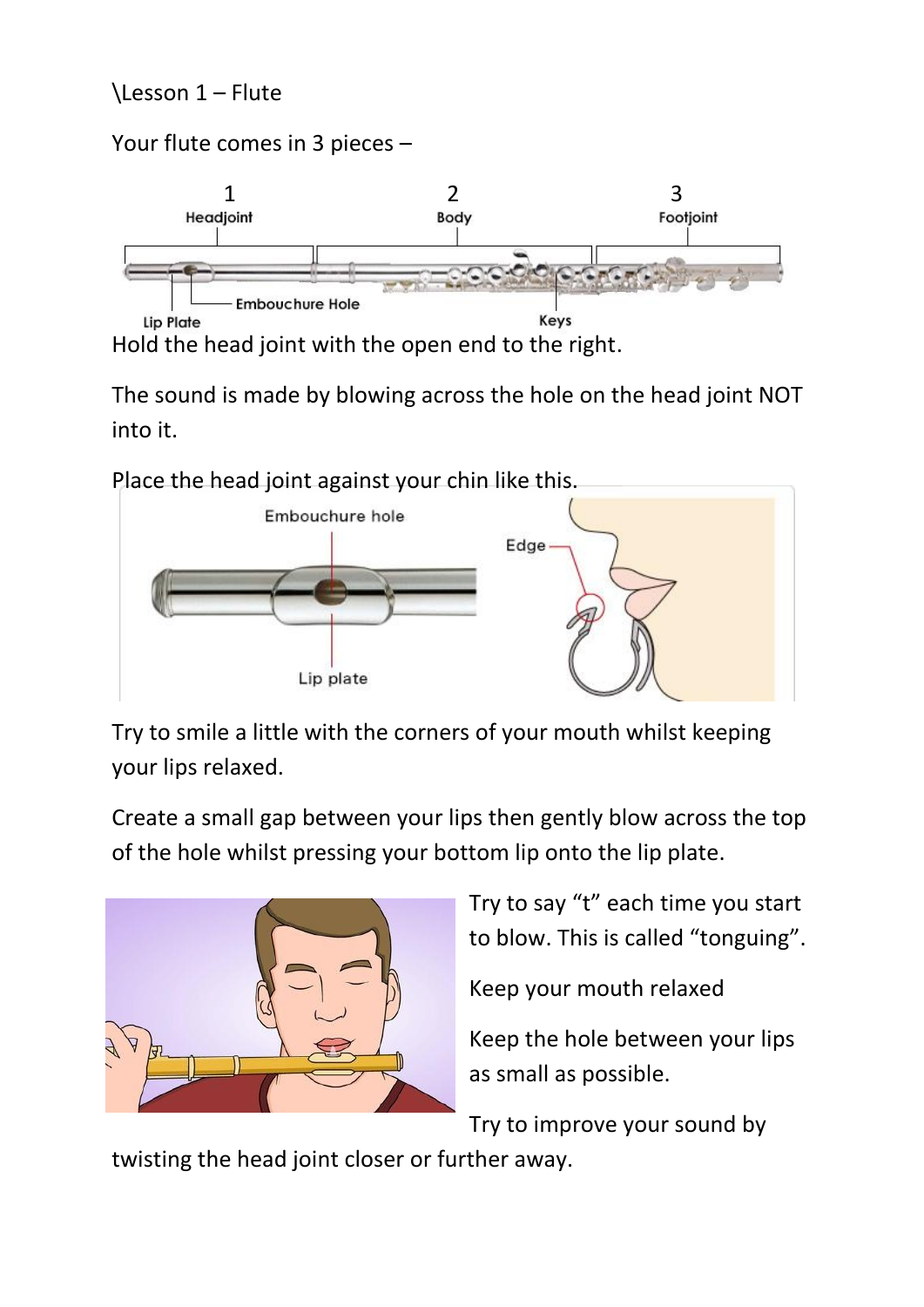## \Lesson 1 – Flute

Your flute comes in 3 pieces –

## 1 2 3 **Embouchure Hole Lip Plate** Keys Hold the head joint with the open end to the right.

The sound is made by blowing across the hole on the head joint NOT

into it.



Try to smile a little with the corners of your mouth whilst keeping your lips relaxed.

Create a small gap between your lips then gently blow across the top of the hole whilst pressing your bottom lip onto the lip plate.



Try to say "t" each time you start to blow. This is called "tonguing".

Keep your mouth relaxed

Keep the hole between your lips as small as possible.

Try to improve your sound by

twisting the head joint closer or further away.